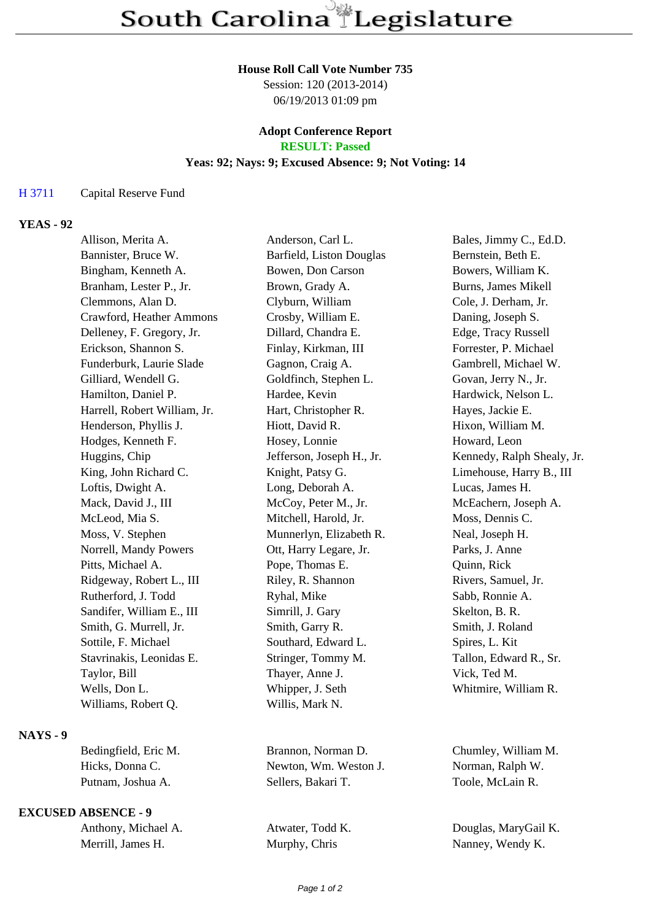#### **House Roll Call Vote Number 735**

Session: 120 (2013-2014) 06/19/2013 01:09 pm

#### **Adopt Conference Report RESULT: Passed**

# **Yeas: 92; Nays: 9; Excused Absence: 9; Not Voting: 14**

#### H 3711 Capital Reserve Fund

## **YEAS - 92**

| Allison, Merita A.           | Anderson, Carl L.         | Bales, Jimmy C., Ed.D.     |
|------------------------------|---------------------------|----------------------------|
| Bannister, Bruce W.          | Barfield, Liston Douglas  | Bernstein, Beth E.         |
| Bingham, Kenneth A.          | Bowen, Don Carson         | Bowers, William K.         |
| Branham, Lester P., Jr.      | Brown, Grady A.           | Burns, James Mikell        |
| Clemmons, Alan D.            | Clyburn, William          | Cole, J. Derham, Jr.       |
| Crawford, Heather Ammons     | Crosby, William E.        | Daning, Joseph S.          |
| Delleney, F. Gregory, Jr.    | Dillard, Chandra E.       | Edge, Tracy Russell        |
| Erickson, Shannon S.         | Finlay, Kirkman, III      | Forrester, P. Michael      |
| Funderburk, Laurie Slade     | Gagnon, Craig A.          | Gambrell, Michael W.       |
| Gilliard, Wendell G.         | Goldfinch, Stephen L.     | Govan, Jerry N., Jr.       |
| Hamilton, Daniel P.          | Hardee, Kevin             | Hardwick, Nelson L.        |
| Harrell, Robert William, Jr. | Hart, Christopher R.      | Hayes, Jackie E.           |
| Henderson, Phyllis J.        | Hiott, David R.           | Hixon, William M.          |
| Hodges, Kenneth F.           | Hosey, Lonnie             | Howard, Leon               |
| Huggins, Chip                | Jefferson, Joseph H., Jr. | Kennedy, Ralph Shealy, Jr. |
| King, John Richard C.        | Knight, Patsy G.          | Limehouse, Harry B., III   |
| Loftis, Dwight A.            | Long, Deborah A.          | Lucas, James H.            |
| Mack, David J., III          | McCoy, Peter M., Jr.      | McEachern, Joseph A.       |
| McLeod, Mia S.               | Mitchell, Harold, Jr.     | Moss, Dennis C.            |
| Moss, V. Stephen             | Munnerlyn, Elizabeth R.   | Neal, Joseph H.            |
| Norrell, Mandy Powers        | Ott, Harry Legare, Jr.    | Parks, J. Anne             |
| Pitts, Michael A.            | Pope, Thomas E.           | Quinn, Rick                |
| Ridgeway, Robert L., III     | Riley, R. Shannon         | Rivers, Samuel, Jr.        |
| Rutherford, J. Todd          | Ryhal, Mike               | Sabb, Ronnie A.            |
| Sandifer, William E., III    | Simrill, J. Gary          | Skelton, B. R.             |
| Smith, G. Murrell, Jr.       | Smith, Garry R.           | Smith, J. Roland           |
| Sottile, F. Michael          | Southard, Edward L.       | Spires, L. Kit             |
| Stavrinakis, Leonidas E.     | Stringer, Tommy M.        | Tallon, Edward R., Sr.     |
| Taylor, Bill                 | Thayer, Anne J.           | Vick, Ted M.               |
| Wells, Don L.                | Whipper, J. Seth          | Whitmire, William R.       |
| Williams, Robert Q.          | Willis, Mark N.           |                            |
|                              |                           |                            |

### **NAYS - 9**

| Bedingfield, Eric M |
|---------------------|
| Hicks, Donna C.     |
| Putnam, Joshua A.   |

## **EXCUSED ABSENCE - 9**

| Anthony, Michael A. |
|---------------------|
| Merrill, James H.   |

1. Brannon, Norman D. Chumley, William M. Newton, Wm. Weston J. Norman, Ralph W. Sellers, Bakari T. Toole, McLain R.

Atwater, Todd K. Douglas, MaryGail K. Murphy, Chris Nanney, Wendy K.